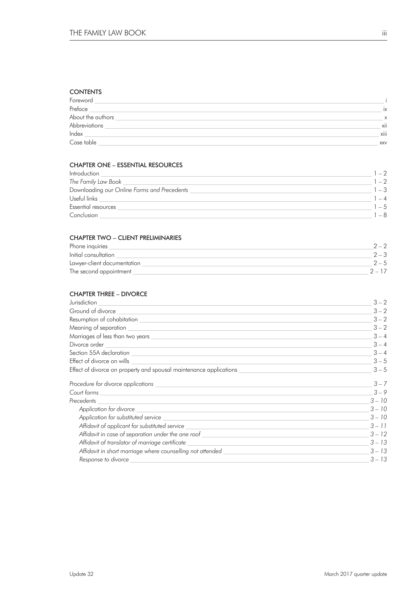### **CONTENTS**

| Foreword          |            |
|-------------------|------------|
| Preface           | ix         |
| About the authors | X          |
| Abbreviations     | xii        |
| Index             | xiii       |
| Case table        | <b>XXV</b> |

### CHAPTER ONE – ESSENTIAL RESOURCES

| Introduction                                |         |
|---------------------------------------------|---------|
| The Family Law Book                         | $-2$    |
| Downloading our Online Forms and Precedents | $-3$    |
| Useful links                                | $-4$    |
| Essential resources                         | $1 - 5$ |
| Conclusion                                  | $-8$    |

### CHAPTER TWO – CLIENT PRELIMINARIES

| Phone inquiries             |       |
|-----------------------------|-------|
| Initial consultation        |       |
| Lawyer-client documentation | $2-5$ |
| The second appointment      |       |

### CHAPTER THREE – DIVORCE

| Jurisdiction                                                       | $3 - 2$  |
|--------------------------------------------------------------------|----------|
| Ground of divorce                                                  | $3 - 2$  |
| Resumption of cohabitation <u>successors</u>                       | $3 - 2$  |
| Meaning of separation                                              | $3 - 2$  |
| Marriages of less than two years                                   | $3 - 4$  |
| Divorce order                                                      | $3 - 4$  |
| Section 55A declaration                                            | $3 - 4$  |
| Effect of divorce on wills                                         | $3 - 5$  |
| Effect of divorce on property and spousal maintenance applications | $3 - 5$  |
| Procedure for divorce applications                                 | $3 - 7$  |
| Court forms                                                        | $3 - 9$  |
| Precedents                                                         | $3 - 10$ |
| Application for divorce                                            | $3 - 10$ |
| Application for substituted service                                | $3 - 10$ |
| Affidavit of applicant for substituted service                     | $3 - 11$ |
| Affidavit in case of separation under the one roof                 | $3 - 12$ |
| Affidavit of translator of marriage certificate                    | $3 - 13$ |
| Affidavit in short marriage where counselling not attended         | $3 - 13$ |
| Response to divorce                                                | $3 - 13$ |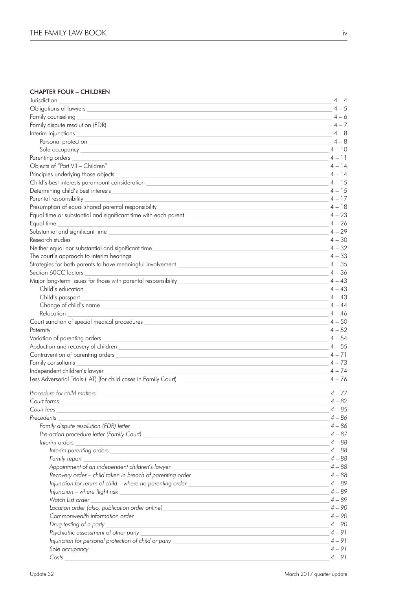### CHAPTER FOUR – CHILDREN

| Jurisdiction                                                                                                                                                                                                                         |          | $4 - 4$  |  |
|--------------------------------------------------------------------------------------------------------------------------------------------------------------------------------------------------------------------------------------|----------|----------|--|
| Obligations of lawyers                                                                                                                                                                                                               |          | $4 - 5$  |  |
| Family counselling                                                                                                                                                                                                                   |          | $4 - 6$  |  |
| Family dispute resolution (FDR)                                                                                                                                                                                                      |          | $4 - 7$  |  |
| Interim injunctions                                                                                                                                                                                                                  |          | $4 - 8$  |  |
| Personal protection <u>substantial and the set of the set of the set of the set of the set of the set of the set of the set of the set of the set of the set of the set of the set of the set of the set of the set of the set o</u> |          | $4 - 8$  |  |
| Sole occupancy and the state of the state of the state of the state of the state of the state of the state of the state of the state of the state of the state of the state of the state of the state of the state of the stat       |          | $4 - 10$ |  |
| Parenting orders                                                                                                                                                                                                                     |          | $4 - 11$ |  |
| Objects of "Part VII - Children"                                                                                                                                                                                                     |          | $4 - 14$ |  |
| Principles underlying those objects _                                                                                                                                                                                                |          | $4 - 14$ |  |
| Child's best interests paramount consideration _                                                                                                                                                                                     |          | $4 - 15$ |  |
|                                                                                                                                                                                                                                      |          | $4 - 15$ |  |
| Parental responsibility                                                                                                                                                                                                              |          | $4 - 17$ |  |
| Presumption of equal shared parental responsibility _____________________________                                                                                                                                                    |          | $4 - 18$ |  |
| Equal time or substantial and significant time with each parent ___________________________________                                                                                                                                  |          | $4 - 23$ |  |
| Equal time                                                                                                                                                                                                                           |          | $4 - 26$ |  |
|                                                                                                                                                                                                                                      | $4 - 29$ |          |  |
| Research studies<br>and the control of the control of the control of the control of the control of the control of the control of the                                                                                                 |          | $4 - 30$ |  |
| Neither equal nor substantial and significant time when the contract of the contract of the contract of the contract of the contract of the contract of the contract of the contract of the contract of the contract of the co       | $4 - 32$ |          |  |
| The court's approach to interim hearings                                                                                                                                                                                             |          | $4 - 33$ |  |
| Strategies for both parents to have meaningful involvement _____________________                                                                                                                                                     | $4 - 35$ |          |  |
| Section 60CC factors                                                                                                                                                                                                                 |          | $4 - 36$ |  |
|                                                                                                                                                                                                                                      |          | $4 - 43$ |  |
| Child's education                                                                                                                                                                                                                    |          | $4 - 43$ |  |
| Child's passport                                                                                                                                                                                                                     |          | $4 - 43$ |  |
|                                                                                                                                                                                                                                      |          | $4 - 44$ |  |
| Relocation                                                                                                                                                                                                                           |          | $4 - 46$ |  |
| Court sanction of special medical procedures with the contract of the contract of the contract of the contract of the contract of the contract of the contract of the contract of the contract of the contract of the contract       | $4 - 50$ |          |  |
| Paternity                                                                                                                                                                                                                            |          | $4 - 52$ |  |
|                                                                                                                                                                                                                                      |          | $4 - 54$ |  |
|                                                                                                                                                                                                                                      |          | $4 - 55$ |  |
| Contravention of parenting orders __________                                                                                                                                                                                         |          | $4 - 71$ |  |
| Family consultants                                                                                                                                                                                                                   |          | $4 - 73$ |  |
| Independent children's lawyer                                                                                                                                                                                                        |          | $4 - 74$ |  |
| Less Adversarial Trials (LAT) (for child cases in Family Court) _________________                                                                                                                                                    |          | $4 - 76$ |  |
|                                                                                                                                                                                                                                      |          |          |  |
| Procedure for child matters <b>Exercise 2008</b>                                                                                                                                                                                     |          | $4 - 77$ |  |
| Court forms                                                                                                                                                                                                                          |          | $4 - 82$ |  |
| Court fees                                                                                                                                                                                                                           |          | $4 - 85$ |  |
| Precedents                                                                                                                                                                                                                           |          | $4 - 86$ |  |
| Family dispute resolution (FDR) letter _                                                                                                                                                                                             |          | 4 – 86   |  |
|                                                                                                                                                                                                                                      |          | $4 - 87$ |  |
| Interim orders                                                                                                                                                                                                                       |          | 4 – 88   |  |
| Interim parenting orders and the contract of the contract of the contract of the contract of the contract of the contract of the contract of the contract of the contract of the contract of the contract of the contract of t       |          | $4 - 88$ |  |
| Family report                                                                                                                                                                                                                        |          | $4 - 88$ |  |
| Appointment of an independent children's lawyer<br>the control of the control of the control of the control of the control of the control of                                                                                         |          | $4 - 88$ |  |
| Recovery order - child taken in breach of parenting order <b>with an amount of the contract of the contract of the contract of the contract of the contract of the contract of the contract of the contract of the contract of t</b> |          | $4 - 88$ |  |
| Injunction for return of child – where no parenting order _______________________                                                                                                                                                    |          | $4 - 89$ |  |
| Injunction - where flight risk<br>and the control of the control of the control of the control of the control of the control of the control of the                                                                                   |          | $4 - 89$ |  |
| Watch List order                                                                                                                                                                                                                     |          | $4 - 89$ |  |
| Location order (also, publication order online)_________________________________                                                                                                                                                     |          | $4 - 90$ |  |
| Commonwealth information order contract to the contract of the contract of the contract of the contract of the contract of the contract of the contract of the contract of the contract of the contract of the contract of the       |          | $4 - 90$ |  |
| Drug testing of a party                                                                                                                                                                                                              |          | $4 - 90$ |  |
| Psychiatric assessment of other party                                                                                                                                                                                                |          | $4 - 91$ |  |
| Injunction for personal protection of child or party ____________________________                                                                                                                                                    |          | $4 - 91$ |  |
|                                                                                                                                                                                                                                      |          | $4 - 91$ |  |
| Costs                                                                                                                                                                                                                                |          | $4 - 91$ |  |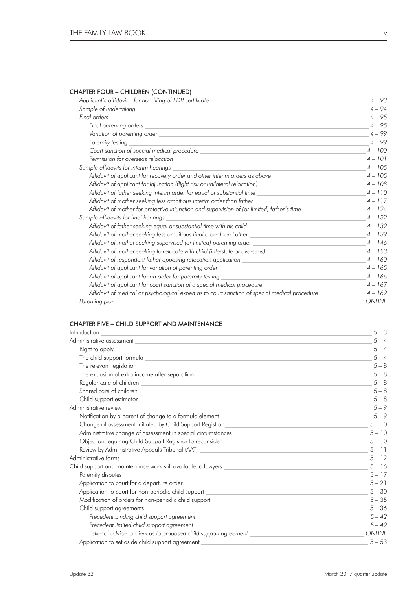# CHAPTER FOUR – CHILDREN (CONTINUED)

| Applicant's affidavit – for non-filing of FDR certificate                                                                                          | $4 - 93$      |
|----------------------------------------------------------------------------------------------------------------------------------------------------|---------------|
| Sample of undertaking                                                                                                                              | $4 - 94$      |
| Final orders                                                                                                                                       | $4 - 95$      |
| Final parenting orders                                                                                                                             | $4 - 95$      |
|                                                                                                                                                    | $4 - 99$      |
| Paternity testing                                                                                                                                  | $4 - 99$      |
|                                                                                                                                                    | $4 - 100$     |
| Permission for overseas relocation                                                                                                                 | $4 - 101$     |
| Sample affidavits for interim hearings                                                                                                             | $4 - 105$     |
| Affidavit of applicant for recovery order and other interim orders as above _______________________                                                | $4 - 105$     |
| Affidavit of applicant for injunction (flight risk or unilateral relocation)                                                                       | $4 - 108$     |
| Affidavit of father seeking interim order for equal or substantial time                                                                            | $4 - 110$     |
| Affidavit of mother seeking less ambitious interim order than father                                                                               | $4 - 117$     |
| Affidavit of mother for protective injunction and supervision of (or limited) father's time                                                        | $4 - 124$     |
| Sample affidavits for final hearings                                                                                                               | $4 - 132$     |
| Affidavit of father seeking equal or substantial time with his child                                                                               | $4 - 132$     |
| Affidavit of mother seeking less ambitious final order than Father _<br>the control of the control of the control of the control of the control of | $4 - 139$     |
| Affidavit of mother seeking supervised (or limited) parenting order                                                                                | $4 - 146$     |
| Affidavit of mother seeking to relocate with child (interstate or overseas) ________________________                                               | $4 - 153$     |
| Affidavit of respondent father opposing relocation application                                                                                     | $4 - 160$     |
| Affidavit of applicant for variation of parenting order                                                                                            | $4 - 165$     |
| Affidavit of applicant for an order for paternity testing                                                                                          | $4 - 166$     |
| Affidavit of applicant for court sanction of a special medical procedure                                                                           | $4 - 167$     |
| Affidavit of medical or psychological expert as to court sanction of special medical procedure _________                                           | $4 - 169$     |
| Parenting plan                                                                                                                                     | <b>ONLINE</b> |

### CHAPTER FIVE – CHILD SUPPORT AND MAINTENANCE

| Introduction                                                                                                                                                                                                                         | $5 - 3$       |
|--------------------------------------------------------------------------------------------------------------------------------------------------------------------------------------------------------------------------------------|---------------|
| Administrative assessment experience of the state of the state of the state of the state of the state of the state of the state of the state of the state of the state of the state of the state of the state of the state of        | $5 - 4$       |
| Right to apply<br><u> 1989 - Johann Stein, mars an deus Amerikaansk kommunister (</u>                                                                                                                                                | $5 - 4$       |
| The child support formula that the children control of the children control of the children control of the children control of the children control of the children control of the children control of the children control of       | $5 - 4$       |
| The relevant legislation<br><u> 1989 - Johann Stoff, amerikansk politiker (* 1908)</u>                                                                                                                                               | $5 - 8$       |
| The exclusion of extra income after separation with a state of the set of the second second service of the set of the set of the set of the set of the set of the set of the set of the set of the set of the set of the set o       | $5 - 8$       |
|                                                                                                                                                                                                                                      | $5 - 8$       |
|                                                                                                                                                                                                                                      | $5 - 8$       |
| Child support estimator that the contract of the contract of the contract of the contract of the contract of the contract of the contract of the contract of the contract of the contract of the contract of the contract of t       | $5 - 8$       |
| Administrative review<br><u> 1980 - Jan Samuel Barbara, martin da shekara ta 1980 - An tsara tsara tsara tsara tsara tsara tsara tsara tsa</u>                                                                                       | $5 - 9$       |
| Notification by a parent of change to a formula element with a state of the state of the state of change to a formula element                                                                                                        | $5 - 9$       |
|                                                                                                                                                                                                                                      | $5 - 10$      |
| Administrative change of assessment in special circumstances <b>contracts</b> and the contract of the contract of the contract of the contract of the contract of the contract of the contract of the contract of the contract of t  | $5 - 10$      |
| Objection requiring Child Support Registrar to reconsider _______________________                                                                                                                                                    | $5 - 10$      |
| Review by Administrative Appeals Tribunal (AAT) ________________________________                                                                                                                                                     | $5 - 11$      |
| Administrative forms                                                                                                                                                                                                                 | $5 - 12$      |
| Child support and maintenance work still available to lawyers <b>with a common control of the control of the control of the control of the control of the control of the control of the control of the control of the control of</b> | $5 - 16$      |
| Paternity disputes<br>and the control of the control of the control of the control of the control of the control of the control of the                                                                                               | $5 - 17$      |
|                                                                                                                                                                                                                                      | $5 - 21$      |
| Application to court for non-periodic child support <b>container the contact of the contact of the contact of the contact of the contact of the contact of the contact of the contact of the contact of the contact of the conta</b> | $5 - 30$      |
| Modification of orders for non-periodic child support <b>container and containers</b> and containers are the contact of                                                                                                              | $5 - 35$      |
| Child support agreements                                                                                                                                                                                                             | $5 - 36$      |
|                                                                                                                                                                                                                                      | $5 - 42$      |
| Precedent limited child support agreement<br><u> 1980 - Johann Stein, marwolaethau a bhann an t-Amhair ann an t-Amhair an t-Amhair an t-Amhair an t-Amhair an</u>                                                                    | $5 - 49$      |
| Letter of advice to client as to proposed child support agreement _________________________________                                                                                                                                  | <b>ONLINE</b> |
|                                                                                                                                                                                                                                      | $5 - 53$      |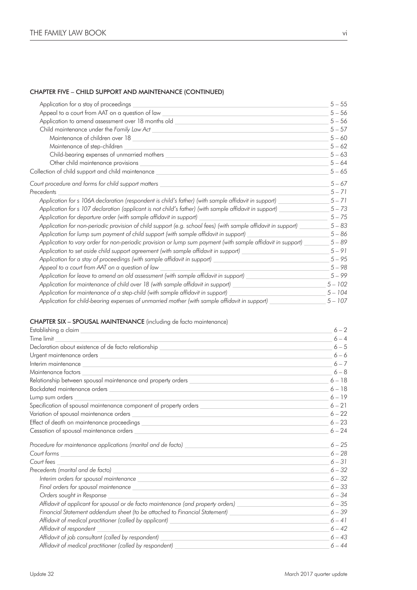### CHAPTER FIVE – CHILD SUPPORT AND MAINTENANCE (CONTINUED)

| Application for a stay of proceedings                                                                                                                                                                                                | $5 - 55$  |
|--------------------------------------------------------------------------------------------------------------------------------------------------------------------------------------------------------------------------------------|-----------|
| Appeal to a court from AAT on a question of law                                                                                                                                                                                      | $5 - 56$  |
| Application to amend assessment over 18 months old <b>container the contact of the contact of the contact of the contact of the contact of the contact of the contact of the contact of the contact of the contact of the contac</b> | $5 - 56$  |
|                                                                                                                                                                                                                                      | $5 - 57$  |
|                                                                                                                                                                                                                                      | $5 - 60$  |
| Maintenance of step-children                                                                                                                                                                                                         | $5 - 62$  |
|                                                                                                                                                                                                                                      | $5 - 63$  |
|                                                                                                                                                                                                                                      | $5 - 64$  |
| Collection of child support and child maintenance ______________________________                                                                                                                                                     | $5 - 65$  |
| Court procedure and forms for child support matters                                                                                                                                                                                  | $5 - 67$  |
| Precedents                                                                                                                                                                                                                           | $5 - 71$  |
| Application for s 106A declaration (respondent is child's father) (with sample affidavit in support)                                                                                                                                 | $5 - 71$  |
| Application for s 107 declaration (applicant is not child's father) (with sample affidavit in support)                                                                                                                               | $5 - 73$  |
| Application for departure order (with sample affidavit in support)                                                                                                                                                                   | $5 - 75$  |
| Application for non-periodic provision of child support (e.g. school fees) (with sample affidavit in support)                                                                                                                        | $5 - 83$  |
| Application for lump sum payment of child support (with sample affidavit in support)                                                                                                                                                 | $5 - 86$  |
| Application to vary order for non-periodic provision or lump sum payment (with sample affidavit in support)                                                                                                                          | $5 - 89$  |
| Application to set aside child support agreement (with sample affidavit in support) ________________                                                                                                                                 | $5 - 91$  |
| Application for a stay of proceedings (with sample affidavit in support)<br><u> 1989 - Johann Barn, mars ann an t-Amhain Aonaich an t-Aonaich an t-Aonaich ann an t-Aonaich ann an t-Aonaich</u>                                     | $5 - 95$  |
| Appeal to a court from AAT on a question of law                                                                                                                                                                                      | $5 - 98$  |
| Application for leave to amend an old assessment (with sample affidavit in support)                                                                                                                                                  | $5 - 99$  |
| Application for maintenance of child over 18 (with sample affidavit in support) ______________________________                                                                                                                       | $5 - 102$ |
| Application for maintenance of a step-child (with sample affidavit in support)                                                                                                                                                       | $5 - 104$ |
| Application for child-bearing expenses of unmarried mother (with sample affidavit in support)                                                                                                                                        | $5 - 107$ |

### CHAPTER SIX – SPOUSAL MAINTENANCE (including de facto maintenance)

|                                                                                                                                                                                                                                      | $6 - 2$  |
|--------------------------------------------------------------------------------------------------------------------------------------------------------------------------------------------------------------------------------------|----------|
| Time limit                                                                                                                                                                                                                           | $6 - 4$  |
|                                                                                                                                                                                                                                      | $6 - 5$  |
|                                                                                                                                                                                                                                      | $6 - 6$  |
| Interim maintenance with a state of the contract of the contract of the contract of the contract of the contract of the contract of the contract of the contract of the contract of the contract of the contract of the contra       | $6 - 7$  |
| Maintenance factors<br>the control of the control of the control of the control of the control of the control of                                                                                                                     | $6 - 8$  |
| Relationship between spousal maintenance and property orders when the control of the control of the control of                                                                                                                       | $6 - 18$ |
| Backdated maintenance orders<br><u> 1989 - Johann Stoff, amerikansk politiker (d. 1989)</u>                                                                                                                                          | $6 - 18$ |
| Lump sum orders<br><u> Alexandria de la contrada de la contrada de la contrada de la contrada de la contrada de la contrada de la c</u>                                                                                              | $6 - 19$ |
| Specification of spousal maintenance component of property orders with a state of the specification of spousal maintenance component of property orders with a state of the state of the state of the state of the state of th       | $6 - 21$ |
|                                                                                                                                                                                                                                      | $6 - 22$ |
|                                                                                                                                                                                                                                      | $6 - 23$ |
| Cessation of spousal maintenance orders with a state of the control of the control of the control of the control of the control of the control of the control of the control of the control of the control of the control of t       | $6 - 24$ |
|                                                                                                                                                                                                                                      | $6 - 25$ |
| Court forms                                                                                                                                                                                                                          | $6 - 28$ |
| Court fees                                                                                                                                                                                                                           | $6 - 31$ |
| Precedents (marital and de facto)                                                                                                                                                                                                    | $6 - 32$ |
| Interim orders for spousal maintenance <b>contract to the contract of the contract of the contract of the contract of the contract of the contract of the contract of the contract of the contract of the contract of the contra</b> | $6 - 32$ |
|                                                                                                                                                                                                                                      | $6 - 33$ |
| Orders sought in Response                                                                                                                                                                                                            | $6 - 34$ |
| Affidavit of applicant for spousal or de facto maintenance (and property orders) ___________________                                                                                                                                 | $6 - 35$ |
| Financial Statement addendum sheet (to be attached to Financial Statement) ________________________                                                                                                                                  | $6 - 39$ |
| Affidavit of medical practitioner (called by applicant) and the control of the control of the control of the control of the control of the control of the control of the control of the control of the control of the control        | $6 - 41$ |
| Affidavit of respondent                                                                                                                                                                                                              | $6 - 42$ |
| Affidavit of job consultant (called by respondent)                                                                                                                                                                                   | $6 - 43$ |
| Affidavit of medical practitioner (called by respondent)                                                                                                                                                                             | $6 - 44$ |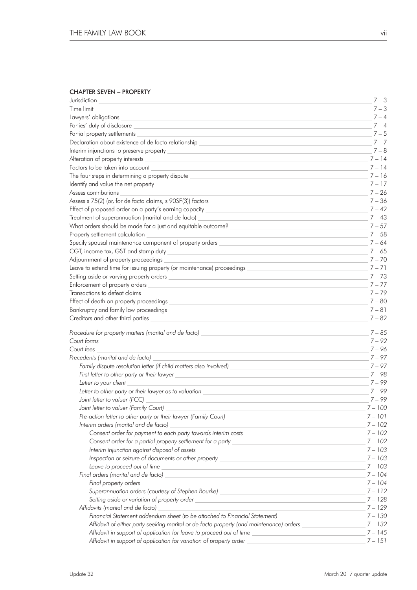## CHAPTER SEVEN – PROPERTY

| Jurisdiction                                                                                                                                                                                                                         | $7 - 3$   |
|--------------------------------------------------------------------------------------------------------------------------------------------------------------------------------------------------------------------------------------|-----------|
| Time limit                                                                                                                                                                                                                           | $7 - 3$   |
| Lawyers' obligations                                                                                                                                                                                                                 | $7 - 4$   |
| Parties' duty of disclosure                                                                                                                                                                                                          | $7 - 4$   |
| Partial property settlements                                                                                                                                                                                                         | $7 - 5$   |
| Declaration about existence of de facto relationship                                                                                                                                                                                 | $7 - 7$   |
|                                                                                                                                                                                                                                      | $7 - 8$   |
|                                                                                                                                                                                                                                      | $7 - 14$  |
| Factors to be taken into account                                                                                                                                                                                                     | $7 - 14$  |
| The four steps in determining a property dispute                                                                                                                                                                                     | $7 - 16$  |
| Identify and value the net property                                                                                                                                                                                                  | $7 - 17$  |
| Assess contributions                                                                                                                                                                                                                 | $7 - 26$  |
| Assess s 75(2) (or, for de facto claims, s 90SF(3)) factors                                                                                                                                                                          | $7 - 36$  |
| Effect of proposed order on a party's earning capacity __________________________                                                                                                                                                    | $7 - 42$  |
| Treatment of superannuation (marital and de facto)                                                                                                                                                                                   | $7 - 43$  |
| What orders should be made for a just and equitable outcome? ____________________                                                                                                                                                    | $7 - 57$  |
| Property settlement calculation                                                                                                                                                                                                      | $7 - 58$  |
| Specify spousal maintenance component of property orders _______________________                                                                                                                                                     | $7 - 64$  |
| CGT, income tax, GST and stamp duty                                                                                                                                                                                                  | $7 - 65$  |
| Adjournment of property proceedings                                                                                                                                                                                                  | $7 - 70$  |
| Leave to extend time for issuing property (or maintenance) proceedings                                                                                                                                                               | $7 - 71$  |
| Setting aside or varying property orders                                                                                                                                                                                             | $7 - 73$  |
| Enforcement of property orders                                                                                                                                                                                                       | $7 - 77$  |
| Transactions to defeat claims                                                                                                                                                                                                        | $7 - 79$  |
| Effect of death on property proceedings                                                                                                                                                                                              | $7 - 80$  |
| Bankruptcy and family law proceedings _                                                                                                                                                                                              | $7 - 81$  |
| Creditors and other third parties                                                                                                                                                                                                    | $7 - 82$  |
| Procedure for property matters (marital and de facto)                                                                                                                                                                                | $7 - 85$  |
| Court forms                                                                                                                                                                                                                          |           |
|                                                                                                                                                                                                                                      | 7 – 92    |
| Court fees                                                                                                                                                                                                                           | $7 - 96$  |
| Precedents (marital and de facto)                                                                                                                                                                                                    | $7 - 97$  |
| Family dispute resolution letter (if child matters also involved)                                                                                                                                                                    | $7 - 97$  |
| First letter to other party or their lawyer                                                                                                                                                                                          | 7 – 98    |
| Letter to your client                                                                                                                                                                                                                | $7 - 99$  |
| Letter to other party or their lawyer as to valuation                                                                                                                                                                                | 7 – 99    |
| Joint letter to valuer (FCC)                                                                                                                                                                                                         | $7 - 99$  |
| Joint letter to valuer (Family Court)                                                                                                                                                                                                | $7 - 100$ |
| Pre-action letter to other party or their lawyer (Family Court) ________________                                                                                                                                                     | $7 - 101$ |
| Interim orders (marital and de facto)                                                                                                                                                                                                | $7 - 102$ |
| Consent order for payment to each party towards interim costs                                                                                                                                                                        | $7 - 102$ |
|                                                                                                                                                                                                                                      | $7 - 102$ |
|                                                                                                                                                                                                                                      | $7 - 103$ |
| Inspection or seizure of documents or other property ___________________________                                                                                                                                                     | $7 - 103$ |
| Leave to proceed out of time<br><u> 1980 - Johann Barbara, martin amerikan basal da</u>                                                                                                                                              | $7 - 103$ |
| Final orders (marital and de facto) <b>contract the contract of the contract of the contract of the contract of the contract of the contract of the contract of the contract of the contract of the contract of the contract of </b> | $7 - 104$ |
| Final property orders                                                                                                                                                                                                                | $7 - 104$ |
| Superannuation orders (courtesy of Stephen Bourke) <b>Superannual Constanting Constanting Constanting Constanting</b>                                                                                                                | $7 - 112$ |
| Setting aside or variation of property order <b>Setting and Setting aside or variation</b>                                                                                                                                           | $7 - 128$ |
| Affidavits (marital and de facto)                                                                                                                                                                                                    | $7 - 129$ |
| Financial Statement addendum sheet (to be attached to Financial Statement)                                                                                                                                                           | $7 - 130$ |
| Affidavit of either party seeking marital or de facto property (and maintenance) orders                                                                                                                                              | $7 - 132$ |
| Affidavit in support of application for leave to proceed out of time                                                                                                                                                                 | $7 - 145$ |
| Affidavit in support of application for variation of property order _                                                                                                                                                                | $7 - 151$ |